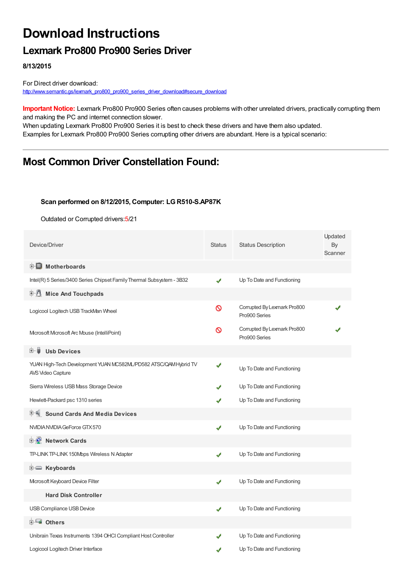# **Download Instructions**

### **Lexmark Pro800 Pro900 Series Driver**

**8/13/2015**

For Direct driver download: [http://www.semantic.gs/lexmark\\_pro800\\_pro900\\_series\\_driver\\_download#secure\\_download](http://www.semantic.gs/lexmark_pro800_pro900_series_driver_download#secure_download)

**Important Notice:** Lexmark Pro800 Pro900 Series often causes problems with other unrelated drivers, practically corrupting them and making the PC and internet connection slower.

When updating Lexmark Pro800 Pro900 Series it is best to check these drivers and have them also updated. Examples for Lexmark Pro800 Pro900 Series corrupting other drivers are abundant. Here is a typical scenario:

## **Most Common Driver Constellation Found:**

#### **Scan performed on 8/12/2015, Computer: LGR510-S.AP87K**

Outdated or Corrupted drivers:5/21

| Device/Driver                                                                         | <b>Status</b> | <b>Status Description</b>                    | Updated<br>By<br>Scanner |
|---------------------------------------------------------------------------------------|---------------|----------------------------------------------|--------------------------|
| <b>E</b> Motherboards                                                                 |               |                                              |                          |
| Intel(R) 5 Series/3400 Series Chipset Family Thermal Subsystem - 3B32                 | ✔             | Up To Date and Functioning                   |                          |
| <b>Mice And Touchpads</b>                                                             |               |                                              |                          |
| Logicool Logitech USB TrackMan Wheel                                                  | ᠗             | Corrupted By Lexmark Pro800<br>Pro900 Series |                          |
| Microsoft Microsoft Arc Mouse (IntelliPoint)                                          | ∾             | Corrupted By Lexmark Pro800<br>Pro900 Series |                          |
| <b>Usb Devices</b><br>⊞…■                                                             |               |                                              |                          |
| YUAN High-Tech Development YUAN MC582ML/PD582 ATSC/QAM Hybrid TV<br>AVS Video Capture |               | Up To Date and Functioning                   |                          |
| Sierra Wireless USB Mass Storage Device                                               |               | Up To Date and Functioning                   |                          |
| Hewlett-Packard psc 1310 series                                                       |               | Up To Date and Functioning                   |                          |
| <b>Sound Cards And Media Devices</b>                                                  |               |                                              |                          |
| NVIDIA NVIDIA GeForce GTX 570                                                         | ✔             | Up To Date and Functioning                   |                          |
| 中 Network Cards                                                                       |               |                                              |                          |
| TP-LINK TP-LINK 150Mbps Wireless N Adapter                                            | ✔             | Up To Date and Functioning                   |                          |
| <b>E</b> Keyboards                                                                    |               |                                              |                          |
| Mcrosoft Keyboard Device Filter                                                       | J             | Up To Date and Functioning                   |                          |
| <b>Hard Disk Controller</b>                                                           |               |                                              |                          |
| USB Compliance USB Device                                                             | ✔             | Up To Date and Functioning                   |                          |
| 白 一 <mark>画</mark> Others                                                             |               |                                              |                          |
| Unibrain Texas Instruments 1394 OHCI Compliant Host Controller                        |               | Up To Date and Functioning                   |                          |
| Logicool Logitech Driver Interface                                                    |               | Up To Date and Functioning                   |                          |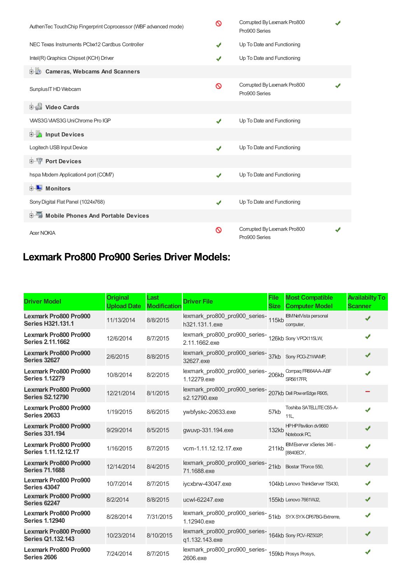| AuthenTec TouchChip Fingerprint Coprocessor (WBF advanced mode) | ଷ | Corrupted By Lexmark Pro800<br>Pro900 Series |  |
|-----------------------------------------------------------------|---|----------------------------------------------|--|
| NEC Texas Instruments PCIxx12 Cardbus Controller                | ✔ | Up To Date and Functioning                   |  |
| Intel(R) Graphics Chipset (KCH) Driver                          | ✔ | Up To Date and Functioning                   |  |
| <b>Cameras, Webcams And Scanners</b><br>由地                      |   |                                              |  |
| Sunplus IT HD Webcam                                            | Ø | Corrupted By Lexmark Pro800<br>Pro900 Series |  |
| Video Cards                                                     |   |                                              |  |
| VIA/S3G VIA/S3G UniChrome Pro IGP                               | ✔ | Up To Date and Functioning                   |  |
| <b>E</b> Input Devices                                          |   |                                              |  |
| Logitech USB Input Device                                       | ✔ | Up To Date and Functioning                   |  |
| <b>E-TP</b> Port Devices                                        |   |                                              |  |
| hspa Modem Application4 port (COM7)                             | ✔ | Up To Date and Functioning                   |  |
| <b>E</b> Monitors                                               |   |                                              |  |
| Sony Digital Flat Panel (1024x768)                              | ✔ | Up To Date and Functioning                   |  |
| 中国 Mobile Phones And Portable Devices                           |   |                                              |  |
| <b>Acer NOKIA</b>                                               | Ø | Corrupted By Lexmark Pro800<br>Pro900 Series |  |

## **Lexmark Pro800 Pro900 Series Driver Models:**

| <b>Driver Model</b>                                    | <b>Original</b><br><b>Upload Date</b> | Last<br><b>Modification</b> | <b>Driver File</b>                                                          | <b>File</b><br><b>Size</b> | <b>Most Compatible</b><br><b>Computer Model</b> | <b>Availabilty To</b><br><b>Scanner</b> |
|--------------------------------------------------------|---------------------------------------|-----------------------------|-----------------------------------------------------------------------------|----------------------------|-------------------------------------------------|-----------------------------------------|
| Lexmark Pro800 Pro900<br><b>Series H321.131.1</b>      | 11/13/2014                            | 8/8/2015                    | lexmark_pro800_pro900_series-<br>115kb<br>h321.131.1.exe                    |                            | <b>IBM NetVista personal</b><br>computer,       | ✔                                       |
| Lexmark Pro800 Pro900<br><b>Series 2.11.1662</b>       | 12/6/2014                             | 8/7/2015                    | lexmark_pro800_pro900_series-<br>126kb Sony VPCX115LW,<br>2.11.1662.exe     |                            |                                                 | ✔                                       |
| <b>Lexmark Pro800 Pro900</b><br><b>Series 32627</b>    | 2/6/2015                              | 8/8/2015                    | lexmark_pro800_pro900_series-<br>37kb Sony POS-21WAMP,<br>32627.exe         |                            |                                                 |                                         |
| Lexmark Pro800 Pro900<br><b>Series 1.12279</b>         | 10/8/2014                             | 8/2/2015                    | lexmark_pro800_pro900_series-206kb<br>1.12279.exe                           |                            | Compag FR664AA-ABF<br><b>SR5617FR</b>           | ✔                                       |
| <b>Lexmark Pro800 Pro900</b><br><b>Series S2.12790</b> | 12/21/2014                            | 8/1/2015                    | lexmark_pro800_pro900_series-<br>207kb Dell PowerEdge R905,<br>s2.12790.exe |                            |                                                 |                                         |
| Lexmark Pro800 Pro900<br><b>Series 20633</b>           | 1/19/2015                             | 8/6/2015                    | ywbfyskc-20633.exe                                                          | 57kb                       | Toshiba SATELLITE C55-A-<br>11L                 | ✔                                       |
| Lexmark Pro800 Pro900<br><b>Series 331.194</b>         | 9/29/2014                             | 8/5/2015                    | gwuvp-331.194.exe                                                           | 132kb                      | HPHP Pavilion dv9660<br>Notebook PC.            | ✔                                       |
| Lexmark Pro800 Pro900<br>Series 1.11.12.12.17          | 1/16/2015                             | 8/7/2015                    | vcm-1.11.12.12.17.exe                                                       | 211kb                      | IBM Eserver xSeries 346 -<br>[8840ECY.          | J                                       |
| <b>Lexmark Pro800 Pro900</b><br><b>Series 71.1688</b>  | 12/14/2014                            | 8/4/2015                    | lexmark_pro800_pro900_series-<br>21kb Biostar TForce 550,<br>71.1688.exe    |                            |                                                 | ✔                                       |
| Lexmark Pro800 Pro900<br><b>Series 43047</b>           | 10/7/2014                             | 8/7/2015                    | iycxbrw-43047.exe                                                           |                            | 104kb Lenovo ThinkServer TS430,                 | ✔                                       |
| Lexmark Pro800 Pro900<br><b>Series 62247</b>           | 8/2/2014                              | 8/8/2015                    | ucwl-62247.exe                                                              |                            | 155kb Lenovo 7661WJ2,                           |                                         |
| Lexmark Pro800 Pro900<br><b>Series 1.12940</b>         | 8/28/2014                             | 7/31/2015                   | lexmark_pro800_pro900_series-<br>51kb SYXSYX-DF67BG-Extreme,<br>1.12940.exe |                            |                                                 | ✔                                       |
| Lexmark Pro800 Pro900<br><b>Series Q1.132.143</b>      | 10/23/2014                            | 8/10/2015                   | lexmark_pro800_pro900_series-<br>164kb Sony PCV-RZ502P,<br>q1.132.143.exe   |                            |                                                 | ✔                                       |
| Lexmark Pro800 Pro900<br>Series 2606                   | 7/24/2014                             | 8/7/2015                    | lexmark_pro800_pro900_series-<br>159kb Prosys Prosys,<br>2606.exe           |                            |                                                 | J                                       |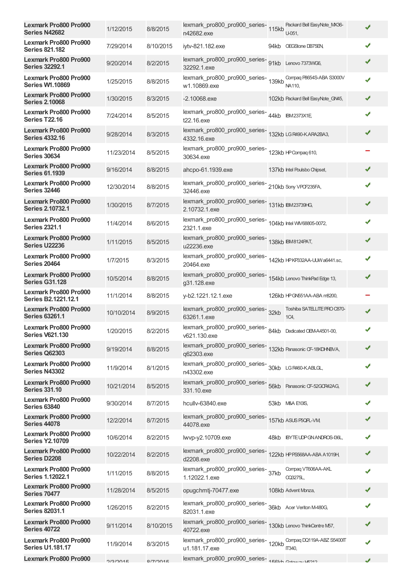| <b>Lexmark Pro800 Pro900</b><br>Series N42682              | 1/12/2015  | 8/8/2015  | lexmark_pro800_pro900_series-115kb<br>n42682.exe                               | Packard Bell EasyNote MX36-<br>U-051.      | ✔ |
|------------------------------------------------------------|------------|-----------|--------------------------------------------------------------------------------|--------------------------------------------|---|
| <b>Lexmark Pro800 Pro900</b><br><b>Series 821,182</b>      | 7/29/2014  | 8/10/2015 | iytv-821.182.exe                                                               | 94kb OEGStone DB75EN                       | ✔ |
| <b>Lexmark Pro800 Pro900</b><br><b>Series 32292.1</b>      | 9/20/2014  | 8/2/2015  | lexmark_pro800_pro900_series-<br>91kb Lenovo 7373WG6,<br>32292.1.exe           |                                            | ✔ |
| <b>Lexmark Pro800 Pro900</b><br><b>Series W1.10869</b>     | 1/25/2015  | 8/8/2015  | lexmark_pro800_pro900_series-<br>139kb<br>w1.10869.exe                         | Compaq P8654S-ABA S3000V<br>NA110,         | ✔ |
| Lexmark Pro800 Pro900<br><b>Series 2.10068</b>             | 1/30/2015  | 8/3/2015  | $-2.10068$ .exe                                                                | 102kb Packard Bell EasyNote_GN45,          | ✔ |
| <b>Lexmark Pro800 Pro900</b><br><b>Series T22.16</b>       | 7/24/2014  | 8/5/2015  | lexmark_pro800_pro900_series-<br>44kb IBM2373X1E,<br>t22.16.exe                |                                            | ✔ |
| <b>Lexmark Pro800 Pro900</b><br><b>Series 4332.16</b>      | 9/28/2014  | 8/3/2015  | lexmark_pro800_pro900_series-<br>132kb LGR490-KARA2BA3,<br>4332.16.exe         |                                            | ✔ |
| <b>Lexmark Pro800 Pro900</b><br><b>Series 30634</b>        | 11/23/2014 | 8/5/2015  | lexmark_pro800_pro900_series-<br>123kb HP Compaq 610,<br>30634.exe             |                                            |   |
| Lexmark Pro800 Pro900<br><b>Series 61.1939</b>             | 9/16/2014  | 8/8/2015  | ahcpo-61.1939.exe                                                              | 137kb Intel Poulsbo Chipset,               | ✔ |
| <b>Lexmark Pro800 Pro900</b><br><b>Series 32446</b>        | 12/30/2014 | 8/8/2015  | lexmark_pro800_pro900_series-<br>210kb Sony VPCF235FA,<br>32446.exe            |                                            | ✔ |
| <b>Lexmark Pro800 Pro900</b><br><b>Series 2.10732.1</b>    | 1/30/2015  | 8/7/2015  | lexmark_pro800_pro900_series-<br>131kb IBM23739HG,<br>2.10732.1.exe            |                                            | ✔ |
| <b>Lexmark Pro800 Pro900</b><br><b>Series 2321.1</b>       | 11/4/2014  | 8/6/2015  | lexmark_pro800_pro900_series-<br>104kb Intel WV68805-0072,<br>2321.1.exe       |                                            | ✔ |
| <b>Lexmark Pro800 Pro900</b><br><b>Series U22236</b>       | 1/11/2015  | 8/5/2015  | lexmark_pro800_pro900_series-<br>138kb IBM8124PAT,<br>u22236.exe               |                                            | ✔ |
| <b>Lexmark Pro800 Pro900</b><br><b>Series 20464</b>        | 1/7/2015   | 8/3/2015  | lexmark_pro800_pro900_series-<br>142kb HPKP332AA-UJWa6441.sc,<br>20464.exe     |                                            | ✔ |
| <b>Lexmark Pro800 Pro900</b><br><b>Series G31.128</b>      | 10/5/2014  | 8/8/2015  | lexmark_pro800_pro900_series-<br>154kb Lenovo ThinkPad Edge 13,<br>g31.128.exe |                                            | ✔ |
| <b>Lexmark Pro800 Pro900</b><br><b>Series B2.1221.12.1</b> | 11/1/2014  | 8/8/2015  | y-b2.1221.12.1.exe                                                             | 126kb HPGN551AA-ABA m8200,                 |   |
| Lexmark Pro800 Pro900<br><b>Series 63261.1</b>             | 10/10/2014 | 8/9/2015  | lexmark_pro800_pro900_series-<br>32kb<br>63261.1.exe                           | Toshiba SATELLITE PRO C870-<br>1C4,        | ✔ |
| <b>Lexmark Pro800 Pro900</b><br><b>Series V621.130</b>     | 1/20/2015  | 8/2/2015  | lexmark_pro800_pro900_series-<br>84kb Dedicated OEM-A4501-00,<br>v621.130.exe  |                                            | ✔ |
| Lexmark Pro800 Pro900<br><b>Series Q62303</b>              | 9/19/2014  | 8/8/2015  | lexmark_pro800_pro900_series-<br>132kb Panasonic CF-18KDHNBVA,<br>q62303.exe   |                                            | ✔ |
| <b>Lexmark Pro800 Pro900</b><br><b>Series N43302</b>       | 11/9/2014  | 8/1/2015  | lexmark_pro800_pro900_series-<br>30kb LGR460-KABLGL,<br>n43302.exe             |                                            | ✔ |
| Lexmark Pro800 Pro900<br><b>Series 331.10</b>              | 10/21/2014 | 8/5/2015  | lexmark_pro800_pro900_series-<br>56kb Panasonic CF-52GCR42AG,<br>331.10.exe    |                                            | ✔ |
| <b>Lexmark Pro800 Pro900</b><br><b>Series 63840</b>        | 9/30/2014  | 8/7/2015  | hcullv-63840.exe                                                               | 53kb M&A E10IS,                            | ✔ |
| <b>Lexmark Pro800 Pro900</b><br><b>Series 44078</b>        | 12/2/2014  | 8/7/2015  | lexmark_pro800_pro900_series-<br>157kb ASUS PSQPL-VM<br>44078.exe              |                                            | ✔ |
| <b>Lexmark Pro800 Pro900</b><br><b>Series Y2.10709</b>     | 10/6/2014  | 8/2/2015  | lwvp-y2.10709.exe                                                              | 48kb BYTEUDPGNANDROS-136L,                 |   |
| <b>Lexmark Pro800 Pro900</b><br>Series D2208               | 10/22/2014 | 8/2/2015  | lexmark_pro800_pro900_series-<br>122kb HPPS568AA-ABA A1019H,<br>d2208.exe      |                                            | ✔ |
| <b>Lexmark Pro800 Pro900</b><br><b>Series 1.12022.1</b>    | 1/11/2015  | 8/8/2015  | lexmark_pro800_pro900_series-<br>37kb<br>1.12022.1.exe                         | Compag VT606AA-AKL<br>CQ3275L,             | ✔ |
| <b>Lexmark Pro800 Pro900</b><br><b>Series 70477</b>        | 11/28/2014 | 8/5/2015  | opugchmtj-70477.exe                                                            | 108kb Advent Monza,                        | ✔ |
| Lexmark Pro800 Pro900<br><b>Series 82031.1</b>             | 1/26/2015  | 8/2/2015  | lexmark_pro800_pro900_series-<br>36kb Acer Veriton M480G,<br>82031.1.exe       |                                            | ✔ |
| <b>Lexmark Pro800 Pro900</b><br><b>Series 40722</b>        | 9/11/2014  | 8/10/2015 | lexmark_pro800_pro900_series-<br>130kb Lenovo ThinkCentre M57,<br>40722.exe    |                                            | ✔ |
| <b>Lexmark Pro800 Pro900</b><br><b>Series U1.181.17</b>    | 11/9/2014  | 8/3/2015  | lexmark_pro800_pro900_series-<br>120kb<br>u1.181.17.exe                        | Compag DQ119A-ABZ S5400IT<br><b>IT340.</b> | ✔ |
| <b>Lexmark Pro800 Pro900</b>                               | 2/2/2015   | Q/7/2015  | lexmark_pro800_pro900_series-156Lh Cotours LE212                               |                                            | J |